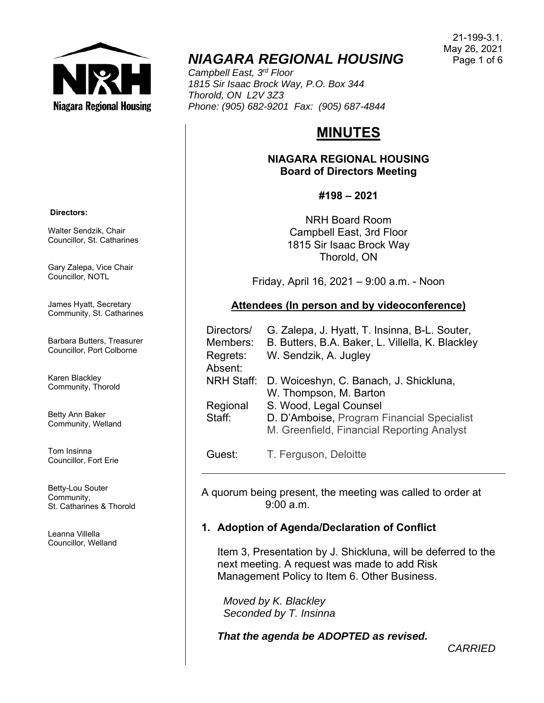

# *NIAGARA REGIONAL HOUSING*

*Campbell East, 3rd Floor 1815 Sir Isaac Brock Way, P.O. Box 344 Thorold, ON L2V 3Z3 Phone: (905) 682-9201 Fax: (905) 687-4844* 

# **MINUTES**

**NIAGARA REGIONAL HOUSING Board of Directors Meeting** 

**#198 – 2021** 

NRH Board Room Campbell East, 3rd Floor 1815 Sir Isaac Brock Way Thorold, ON

Friday, April 16, 2021 – 9:00 a.m. - Noon

## **Attendees (In person and by videoconference)**

| Directors/        | G. Zalepa, J. Hyatt, T. Insinna, B-L. Souter,    |
|-------------------|--------------------------------------------------|
| Members:          | B. Butters, B.A. Baker, L. Villella, K. Blackley |
| Regrets:          | W. Sendzik, A. Jugley                            |
| Absent:           |                                                  |
| <b>NRH Staff:</b> | D. Woiceshyn, C. Banach, J. Shickluna,           |
|                   | W. Thompson, M. Barton                           |
| Regional          | S. Wood, Legal Counsel                           |
| Staff:            | D. D'Amboise, Program Financial Specialist       |
|                   | M. Greenfield, Financial Reporting Analyst       |
|                   |                                                  |

Guest: T. Ferguson, Deloitte

A quorum being present, the meeting was called to order at  $9.00 a m$ 

# **1. Adoption of Agenda/Declaration of Conflict**

Item 3, Presentation by J. Shickluna, will be deferred to the next meeting. A request was made to add Risk Management Policy to Item 6. Other Business.

 *Moved by K. Blackley Seconded by T. Insinna* 

*That the agenda be ADOPTED as revised.* 

Walter Sendzik, Chair

 **Directors:** 

Gary Zalepa, Vice Chair Councillor, NOTL

Councillor, St. Catharines

James Hyatt, Secretary Community, St. Catharines

Barbara Butters, Treasurer Councillor, Port Colborne

Karen Blackley Community, Thorold

Betty Ann Baker Community, Welland

Tom Insinna Councillor, Fort Erie

Betty-Lou Souter Community, St. Catharines & Thorold

Leanna Villella Councillor, Welland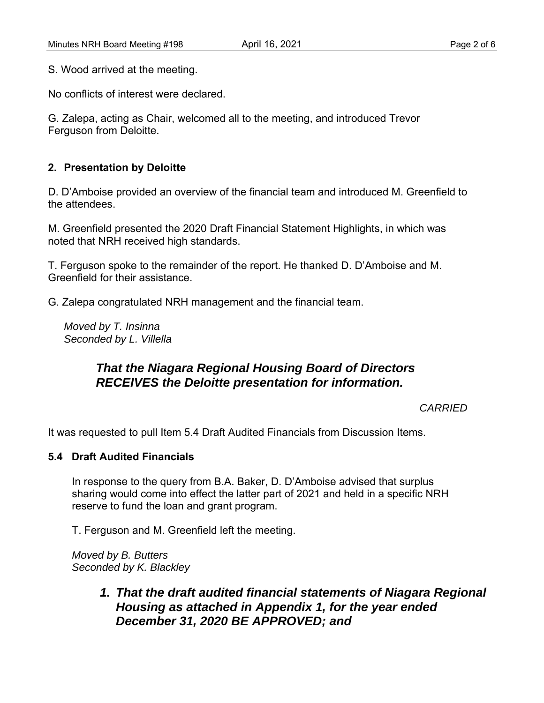S. Wood arrived at the meeting.

No conflicts of interest were declared.

G. Zalepa, acting as Chair, welcomed all to the meeting, and introduced Trevor Ferguson from Deloitte.

## **2. Presentation by Deloitte**

D. D'Amboise provided an overview of the financial team and introduced M. Greenfield to the attendees.

M. Greenfield presented the 2020 Draft Financial Statement Highlights, in which was noted that NRH received high standards.

T. Ferguson spoke to the remainder of the report. He thanked D. D'Amboise and M. Greenfield for their assistance.

G. Zalepa congratulated NRH management and the financial team.

*Moved by T. Insinna Seconded by L. Villella* 

# *That the Niagara Regional Housing Board of Directors RECEIVES the Deloitte presentation for information.*

*CARRIED*

It was requested to pull Item 5.4 Draft Audited Financials from Discussion Items.

#### **5.4 Draft Audited Financials**

In response to the query from B.A. Baker, D. D'Amboise advised that surplus sharing would come into effect the latter part of 2021 and held in a specific NRH reserve to fund the loan and grant program.

T. Ferguson and M. Greenfield left the meeting.

*Moved by B. Butters Seconded by K. Blackley* 

> *1. That the draft audited financial statements of Niagara Regional Housing as attached in Appendix 1, for the year ended December 31, 2020 BE APPROVED; and*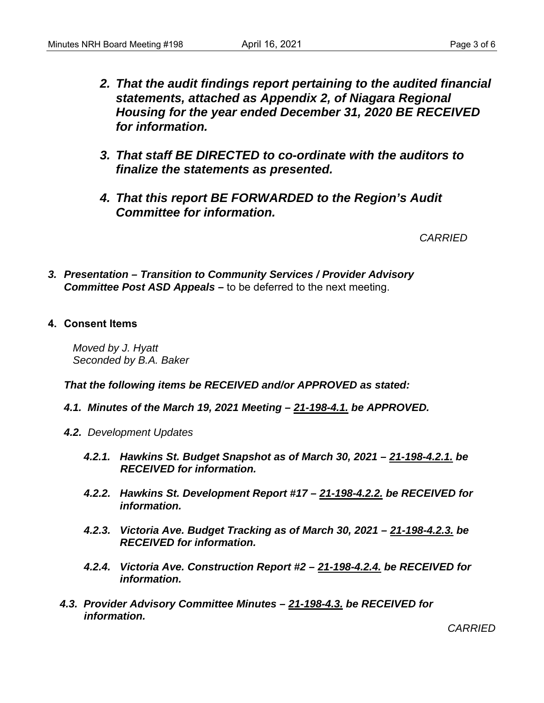- *2. That the audit findings report pertaining to the audited financial statements, attached as Appendix 2, of Niagara Regional Housing for the year ended December 31, 2020 BE RECEIVED for information.*
- *3. That staff BE DIRECTED to co-ordinate with the auditors to finalize the statements as presented.*
- *4. That this report BE FORWARDED to the Region's Audit Committee for information.*

*CARRIED* 

- *3. Presentation Transition to Community Services / Provider Advisory Committee Post ASD Appeals –* to be deferred to the next meeting.
- **4. Consent Items**

*Moved by J. Hyatt Seconded by B.A. Baker* 

*That the following items be RECEIVED and/or APPROVED as stated:* 

- *4.1. Minutes of the March 19, 2021 Meeting 21-198-4.1. be APPROVED.*
- *4.2. Development Updates* 
	- *4.2.1. Hawkins St. Budget Snapshot as of March 30, 2021 21-198-4.2.1. be RECEIVED for information.*
	- *4.2.2. Hawkins St. Development Report #17 21-198-4.2.2. be RECEIVED for information.*
	- *4.2.3. Victoria Ave. Budget Tracking as of March 30, 2021 21-198-4.2.3. be RECEIVED for information.*
	- *4.2.4. Victoria Ave. Construction Report #2 21-198-4.2.4. be RECEIVED for information.*
- *4.3. Provider Advisory Committee Minutes 21-198-4.3. be RECEIVED for information.*

*CARRIED*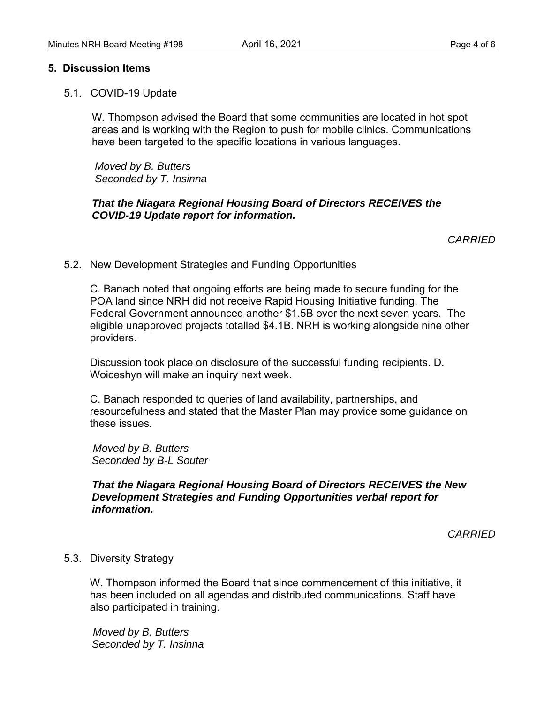#### **5. Discussion Items**

5.1. COVID-19 Update

W. Thompson advised the Board that some communities are located in hot spot areas and is working with the Region to push for mobile clinics. Communications have been targeted to the specific locations in various languages.

 *Moved by B. Butters Seconded by T. Insinna* 

### *That the Niagara Regional Housing Board of Directors RECEIVES the COVID-19 Update report for information.*

*CARRIED* 

5.2. New Development Strategies and Funding Opportunities

 C. Banach noted that ongoing efforts are being made to secure funding for the POA land since NRH did not receive Rapid Housing Initiative funding. The Federal Government announced another \$1.5B over the next seven years. The eligible unapproved projects totalled \$4.1B. NRH is working alongside nine other providers.

 Discussion took place on disclosure of the successful funding recipients. D. Woiceshyn will make an inquiry next week.

 C. Banach responded to queries of land availability, partnerships, and resourcefulness and stated that the Master Plan may provide some guidance on these issues.

 *Moved by B. Butters Seconded by B-L Souter* 

### *That the Niagara Regional Housing Board of Directors RECEIVES the New Development Strategies and Funding Opportunities verbal report for information.*

*CARRIED* 

#### 5.3. Diversity Strategy

 W. Thompson informed the Board that since commencement of this initiative, it has been included on all agendas and distributed communications. Staff have also participated in training.

 *Moved by B. Butters Seconded by T. Insinna*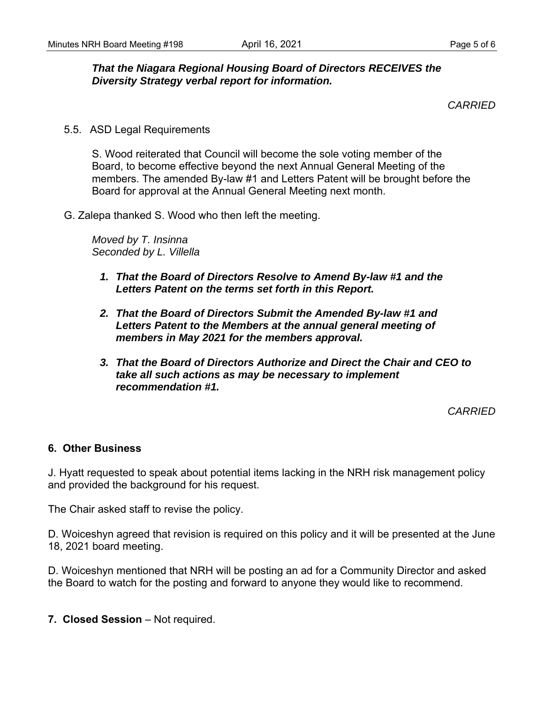# *That the Niagara Regional Housing Board of Directors RECEIVES the Diversity Strategy verbal report for information.*

*CARRIED* 

5.5. ASD Legal Requirements

S. Wood reiterated that Council will become the sole voting member of the Board, to become effective beyond the next Annual General Meeting of the members. The amended By-law #1 and Letters Patent will be brought before the Board for approval at the Annual General Meeting next month.

G. Zalepa thanked S. Wood who then left the meeting.

*Moved by T. Insinna Seconded by L. Villella* 

- *1. That the Board of Directors Resolve to Amend By-law #1 and the Letters Patent on the terms set forth in this Report.*
- *2. That the Board of Directors Submit the Amended By-law #1 and Letters Patent to the Members at the annual general meeting of members in May 2021 for the members approval.*
- *3. That the Board of Directors Authorize and Direct the Chair and CEO to take all such actions as may be necessary to implement recommendation #1.*

*CARRIED* 

### **6. Other Business**

J. Hyatt requested to speak about potential items lacking in the NRH risk management policy and provided the background for his request.

The Chair asked staff to revise the policy.

D. Woiceshyn agreed that revision is required on this policy and it will be presented at the June 18, 2021 board meeting.

D. Woiceshyn mentioned that NRH will be posting an ad for a Community Director and asked the Board to watch for the posting and forward to anyone they would like to recommend.

**7. Closed Session** – Not required.